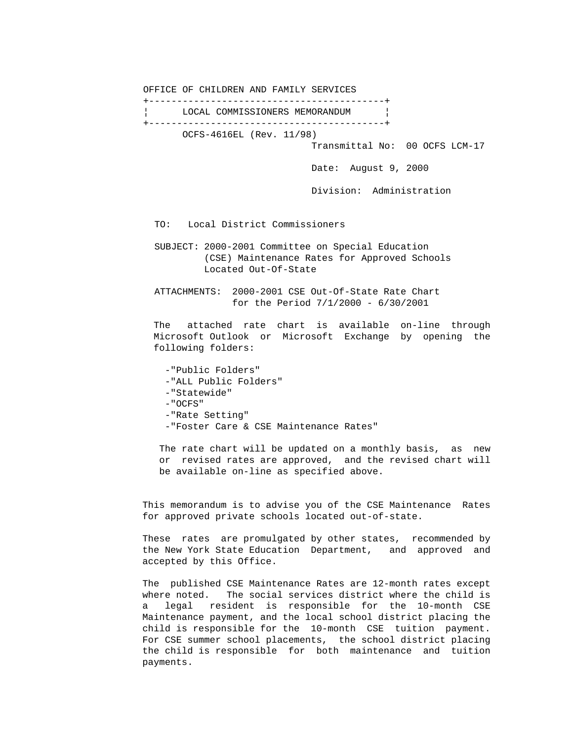OFFICE OF CHILDREN AND FAMILY SERVICES +------------------------------------------+ LOCAL COMMISSIONERS MEMORANDUM | +------------------------------------------+ OCFS-4616EL (Rev. 11/98) Transmittal No: 00 OCFS LCM-17 Date: August 9, 2000 Division: Administration TO: Local District Commissioners SUBJECT: 2000-2001 Committee on Special Education (CSE) Maintenance Rates for Approved Schools Located Out-Of-State ATTACHMENTS: 2000-2001 CSE Out-Of-State Rate Chart for the Period 7/1/2000 - 6/30/2001 The attached rate chart is available on-line through Microsoft Outlook or Microsoft Exchange by opening the following folders: -"Public Folders" -"ALL Public Folders" -"Statewide" -"OCFS" -"Rate Setting" -"Foster Care & CSE Maintenance Rates" The rate chart will be updated on a monthly basis, as new or revised rates are approved, and the revised chart will be available on-line as specified above.

 This memorandum is to advise you of the CSE Maintenance Rates for approved private schools located out-of-state.

 These rates are promulgated by other states, recommended by the New York State Education Department, and approved and accepted by this Office.

 The published CSE Maintenance Rates are 12-month rates except where noted. The social services district where the child is a legal resident is responsible for the 10-month CSE Maintenance payment, and the local school district placing the child is responsible for the 10-month CSE tuition payment. For CSE summer school placements, the school district placing the child is responsible for both maintenance and tuition payments.